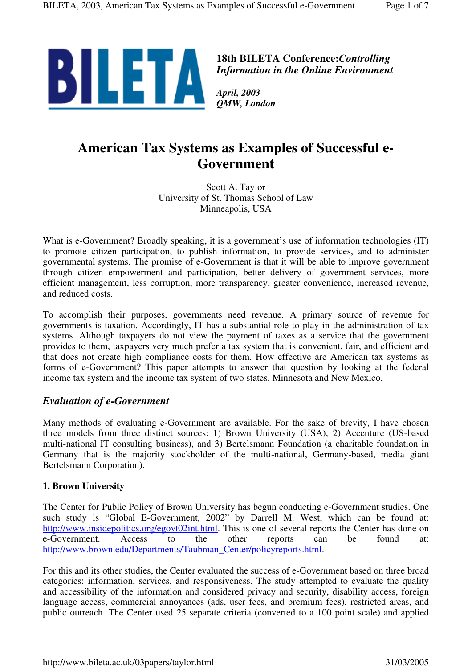

**18th BILETA Conference:***Controlling Information in the Online Environment*

*April, 2003 QMW, London*

# **American Tax Systems as Examples of Successful e-Government**

Scott A. Taylor University of St. Thomas School of Law Minneapolis, USA

What is e-Government? Broadly speaking, it is a government's use of information technologies (IT) to promote citizen participation, to publish information, to provide services, and to administer governmental systems. The promise of e-Government is that it will be able to improve government through citizen empowerment and participation, better delivery of government services, more efficient management, less corruption, more transparency, greater convenience, increased revenue, and reduced costs.

To accomplish their purposes, governments need revenue. A primary source of revenue for governments is taxation. Accordingly, IT has a substantial role to play in the administration of tax systems. Although taxpayers do not view the payment of taxes as a service that the government provides to them, taxpayers very much prefer a tax system that is convenient, fair, and efficient and that does not create high compliance costs for them. How effective are American tax systems as forms of e-Government? This paper attempts to answer that question by looking at the federal income tax system and the income tax system of two states, Minnesota and New Mexico.

# *Evaluation of e-Government*

Many methods of evaluating e-Government are available. For the sake of brevity, I have chosen three models from three distinct sources: 1) Brown University (USA), 2) Accenture (US-based multi-national IT consulting business), and 3) Bertelsmann Foundation (a charitable foundation in Germany that is the majority stockholder of the multi-national, Germany-based, media giant Bertelsmann Corporation).

# **1. Brown University**

The Center for Public Policy of Brown University has begun conducting e-Government studies. One such study is "Global E-Government, 2002" by Darrell M. West, which can be found at: http://www.insidepolitics.org/egovt02int.html. This is one of several reports the Center has done on e-Government. Access to the other reports can be found at: http://www.brown.edu/Departments/Taubman\_Center/policyreports.html.

For this and its other studies, the Center evaluated the success of e-Government based on three broad categories: information, services, and responsiveness. The study attempted to evaluate the quality and accessibility of the information and considered privacy and security, disability access, foreign language access, commercial annoyances (ads, user fees, and premium fees), restricted areas, and public outreach. The Center used 25 separate criteria (converted to a 100 point scale) and applied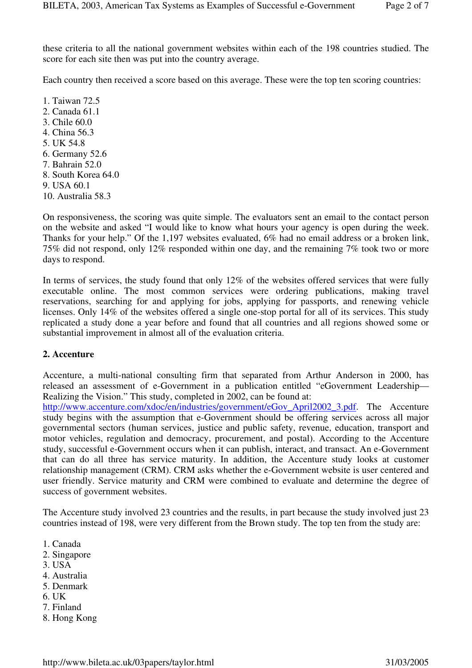these criteria to all the national government websites within each of the 198 countries studied. The score for each site then was put into the country average.

Each country then received a score based on this average. These were the top ten scoring countries:

1. Taiwan 72.5 2. Canada 61.1 3. Chile 60.0 4. China 56.3 5. UK 54.8 6. Germany 52.6 7. Bahrain 52.0 8. South Korea 64.0 9. USA 60.1 10. Australia 58.3

On responsiveness, the scoring was quite simple. The evaluators sent an email to the contact person on the website and asked "I would like to know what hours your agency is open during the week. Thanks for your help." Of the 1,197 websites evaluated, 6% had no email address or a broken link, 75% did not respond, only 12% responded within one day, and the remaining 7% took two or more days to respond.

In terms of services, the study found that only 12% of the websites offered services that were fully executable online. The most common services were ordering publications, making travel reservations, searching for and applying for jobs, applying for passports, and renewing vehicle licenses. Only 14% of the websites offered a single one-stop portal for all of its services. This study replicated a study done a year before and found that all countries and all regions showed some or substantial improvement in almost all of the evaluation criteria.

#### **2. Accenture**

Accenture, a multi-national consulting firm that separated from Arthur Anderson in 2000, has released an assessment of e-Government in a publication entitled "eGovernment Leadership— Realizing the Vision." This study, completed in 2002, can be found at:

http://www.accenture.com/xdoc/en/industries/government/eGov\_April2002\_3.pdf. The Accenture study begins with the assumption that e-Government should be offering services across all major governmental sectors (human services, justice and public safety, revenue, education, transport and motor vehicles, regulation and democracy, procurement, and postal). According to the Accenture study, successful e-Government occurs when it can publish, interact, and transact. An e-Government that can do all three has service maturity. In addition, the Accenture study looks at customer relationship management (CRM). CRM asks whether the e-Government website is user centered and user friendly. Service maturity and CRM were combined to evaluate and determine the degree of success of government websites.

The Accenture study involved 23 countries and the results, in part because the study involved just 23 countries instead of 198, were very different from the Brown study. The top ten from the study are:

- 1. Canada
- 2. Singapore
- 3. USA
- 4. Australia
- 5. Denmark
- 6. UK
- 7. Finland
- 8. Hong Kong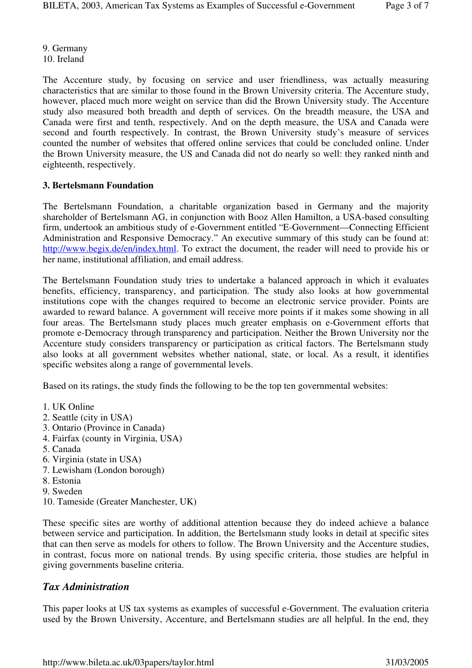9. Germany 10. Ireland

The Accenture study, by focusing on service and user friendliness, was actually measuring characteristics that are similar to those found in the Brown University criteria. The Accenture study, however, placed much more weight on service than did the Brown University study. The Accenture study also measured both breadth and depth of services. On the breadth measure, the USA and Canada were first and tenth, respectively. And on the depth measure, the USA and Canada were second and fourth respectively. In contrast, the Brown University study's measure of services counted the number of websites that offered online services that could be concluded online. Under the Brown University measure, the US and Canada did not do nearly so well: they ranked ninth and eighteenth, respectively.

#### **3. Bertelsmann Foundation**

The Bertelsmann Foundation, a charitable organization based in Germany and the majority shareholder of Bertelsmann AG, in conjunction with Booz Allen Hamilton, a USA-based consulting firm, undertook an ambitious study of e-Government entitled "E-Government—Connecting Efficient Administration and Responsive Democracy." An executive summary of this study can be found at: http://www.begix.de/en/index.html. To extract the document, the reader will need to provide his or her name, institutional affiliation, and email address.

The Bertelsmann Foundation study tries to undertake a balanced approach in which it evaluates benefits, efficiency, transparency, and participation. The study also looks at how governmental institutions cope with the changes required to become an electronic service provider. Points are awarded to reward balance. A government will receive more points if it makes some showing in all four areas. The Bertelsmann study places much greater emphasis on e-Government efforts that promote e-Democracy through transparency and participation. Neither the Brown University nor the Accenture study considers transparency or participation as critical factors. The Bertelsmann study also looks at all government websites whether national, state, or local. As a result, it identifies specific websites along a range of governmental levels.

Based on its ratings, the study finds the following to be the top ten governmental websites:

- 1. UK Online
- 2. Seattle (city in USA)
- 3. Ontario (Province in Canada)
- 4. Fairfax (county in Virginia, USA)
- 5. Canada
- 6. Virginia (state in USA)
- 7. Lewisham (London borough)
- 8. Estonia
- 9. Sweden
- 10. Tameside (Greater Manchester, UK)

These specific sites are worthy of additional attention because they do indeed achieve a balance between service and participation. In addition, the Bertelsmann study looks in detail at specific sites that can then serve as models for others to follow. The Brown University and the Accenture studies, in contrast, focus more on national trends. By using specific criteria, those studies are helpful in giving governments baseline criteria.

#### *Tax Administration*

This paper looks at US tax systems as examples of successful e-Government. The evaluation criteria used by the Brown University, Accenture, and Bertelsmann studies are all helpful. In the end, they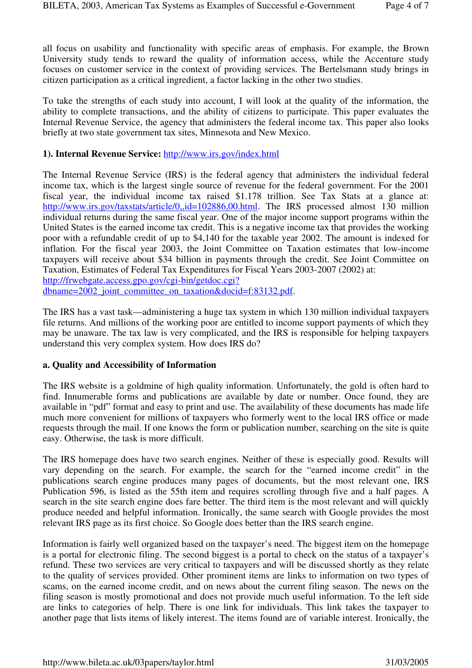all focus on usability and functionality with specific areas of emphasis. For example, the Brown University study tends to reward the quality of information access, while the Accenture study focuses on customer service in the context of providing services. The Bertelsmann study brings in citizen participation as a critical ingredient, a factor lacking in the other two studies.

To take the strengths of each study into account, I will look at the quality of the information, the ability to complete transactions, and the ability of citizens to participate. This paper evaluates the Internal Revenue Service, the agency that administers the federal income tax. This paper also looks briefly at two state government tax sites, Minnesota and New Mexico.

#### **1). Internal Revenue Service:** http://www.irs.gov/index.html

The Internal Revenue Service (IRS) is the federal agency that administers the individual federal income tax, which is the largest single source of revenue for the federal government. For the 2001 fiscal year, the individual income tax raised \$1.178 trillion. See Tax Stats at a glance at: http://www.irs.gov/taxstats/article/0,.jd=102886,00.html. The IRS processed almost 130 million individual returns during the same fiscal year. One of the major income support programs within the United States is the earned income tax credit. This is a negative income tax that provides the working poor with a refundable credit of up to \$4,140 for the taxable year 2002. The amount is indexed for inflation. For the fiscal year 2003, the Joint Committee on Taxation estimates that low-income taxpayers will receive about \$34 billion in payments through the credit. See Joint Committee on Taxation, Estimates of Federal Tax Expenditures for Fiscal Years 2003-2007 (2002) at: http://frwebgate.access.gpo.gov/cgi-bin/getdoc.cgi? dbname=2002\_joint\_committee\_on\_taxation&docid=f:83132.pdf.

The IRS has a vast task—administering a huge tax system in which 130 million individual taxpayers file returns. And millions of the working poor are entitled to income support payments of which they may be unaware. The tax law is very complicated, and the IRS is responsible for helping taxpayers understand this very complex system. How does IRS do?

#### **a. Quality and Accessibility of Information**

The IRS website is a goldmine of high quality information. Unfortunately, the gold is often hard to find. Innumerable forms and publications are available by date or number. Once found, they are available in "pdf" format and easy to print and use. The availability of these documents has made life much more convenient for millions of taxpayers who formerly went to the local IRS office or made requests through the mail. If one knows the form or publication number, searching on the site is quite easy. Otherwise, the task is more difficult.

The IRS homepage does have two search engines. Neither of these is especially good. Results will vary depending on the search. For example, the search for the "earned income credit" in the publications search engine produces many pages of documents, but the most relevant one, IRS Publication 596, is listed as the 55th item and requires scrolling through five and a half pages. A search in the site search engine does fare better. The third item is the most relevant and will quickly produce needed and helpful information. Ironically, the same search with Google provides the most relevant IRS page as its first choice. So Google does better than the IRS search engine.

Information is fairly well organized based on the taxpayer's need. The biggest item on the homepage is a portal for electronic filing. The second biggest is a portal to check on the status of a taxpayer's refund. These two services are very critical to taxpayers and will be discussed shortly as they relate to the quality of services provided. Other prominent items are links to information on two types of scams, on the earned income credit, and on news about the current filing season. The news on the filing season is mostly promotional and does not provide much useful information. To the left side are links to categories of help. There is one link for individuals. This link takes the taxpayer to another page that lists items of likely interest. The items found are of variable interest. Ironically, the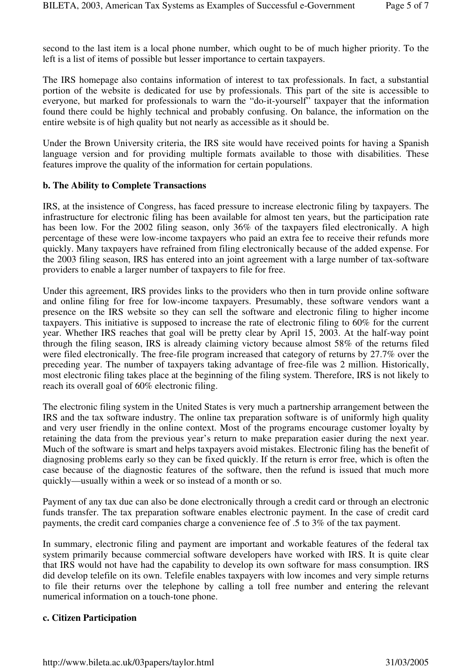second to the last item is a local phone number, which ought to be of much higher priority. To the left is a list of items of possible but lesser importance to certain taxpayers.

The IRS homepage also contains information of interest to tax professionals. In fact, a substantial portion of the website is dedicated for use by professionals. This part of the site is accessible to everyone, but marked for professionals to warn the "do-it-yourself" taxpayer that the information found there could be highly technical and probably confusing. On balance, the information on the entire website is of high quality but not nearly as accessible as it should be.

Under the Brown University criteria, the IRS site would have received points for having a Spanish language version and for providing multiple formats available to those with disabilities. These features improve the quality of the information for certain populations.

#### **b. The Ability to Complete Transactions**

IRS, at the insistence of Congress, has faced pressure to increase electronic filing by taxpayers. The infrastructure for electronic filing has been available for almost ten years, but the participation rate has been low. For the 2002 filing season, only 36% of the taxpayers filed electronically. A high percentage of these were low-income taxpayers who paid an extra fee to receive their refunds more quickly. Many taxpayers have refrained from filing electronically because of the added expense. For the 2003 filing season, IRS has entered into an joint agreement with a large number of tax-software providers to enable a larger number of taxpayers to file for free.

Under this agreement, IRS provides links to the providers who then in turn provide online software and online filing for free for low-income taxpayers. Presumably, these software vendors want a presence on the IRS website so they can sell the software and electronic filing to higher income taxpayers. This initiative is supposed to increase the rate of electronic filing to 60% for the current year. Whether IRS reaches that goal will be pretty clear by April 15, 2003. At the half-way point through the filing season, IRS is already claiming victory because almost 58% of the returns filed were filed electronically. The free-file program increased that category of returns by 27.7% over the preceding year. The number of taxpayers taking advantage of free-file was 2 million. Historically, most electronic filing takes place at the beginning of the filing system. Therefore, IRS is not likely to reach its overall goal of 60% electronic filing.

The electronic filing system in the United States is very much a partnership arrangement between the IRS and the tax software industry. The online tax preparation software is of uniformly high quality and very user friendly in the online context. Most of the programs encourage customer loyalty by retaining the data from the previous year's return to make preparation easier during the next year. Much of the software is smart and helps taxpayers avoid mistakes. Electronic filing has the benefit of diagnosing problems early so they can be fixed quickly. If the return is error free, which is often the case because of the diagnostic features of the software, then the refund is issued that much more quickly—usually within a week or so instead of a month or so.

Payment of any tax due can also be done electronically through a credit card or through an electronic funds transfer. The tax preparation software enables electronic payment. In the case of credit card payments, the credit card companies charge a convenience fee of .5 to 3% of the tax payment.

In summary, electronic filing and payment are important and workable features of the federal tax system primarily because commercial software developers have worked with IRS. It is quite clear that IRS would not have had the capability to develop its own software for mass consumption. IRS did develop telefile on its own. Telefile enables taxpayers with low incomes and very simple returns to file their returns over the telephone by calling a toll free number and entering the relevant numerical information on a touch-tone phone.

#### **c. Citizen Participation**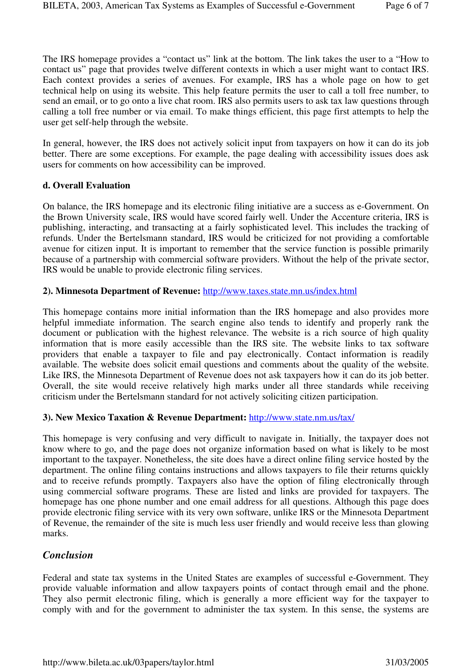The IRS homepage provides a "contact us" link at the bottom. The link takes the user to a "How to contact us" page that provides twelve different contexts in which a user might want to contact IRS. Each context provides a series of avenues. For example, IRS has a whole page on how to get technical help on using its website. This help feature permits the user to call a toll free number, to send an email, or to go onto a live chat room. IRS also permits users to ask tax law questions through calling a toll free number or via email. To make things efficient, this page first attempts to help the user get self-help through the website.

In general, however, the IRS does not actively solicit input from taxpayers on how it can do its job better. There are some exceptions. For example, the page dealing with accessibility issues does ask users for comments on how accessibility can be improved.

#### **d. Overall Evaluation**

On balance, the IRS homepage and its electronic filing initiative are a success as e-Government. On the Brown University scale, IRS would have scored fairly well. Under the Accenture criteria, IRS is publishing, interacting, and transacting at a fairly sophisticated level. This includes the tracking of refunds. Under the Bertelsmann standard, IRS would be criticized for not providing a comfortable avenue for citizen input. It is important to remember that the service function is possible primarily because of a partnership with commercial software providers. Without the help of the private sector, IRS would be unable to provide electronic filing services.

# **2). Minnesota Department of Revenue:** http://www.taxes.state.mn.us/index.html

This homepage contains more initial information than the IRS homepage and also provides more helpful immediate information. The search engine also tends to identify and properly rank the document or publication with the highest relevance. The website is a rich source of high quality information that is more easily accessible than the IRS site. The website links to tax software providers that enable a taxpayer to file and pay electronically. Contact information is readily available. The website does solicit email questions and comments about the quality of the website. Like IRS, the Minnesota Department of Revenue does not ask taxpayers how it can do its job better. Overall, the site would receive relatively high marks under all three standards while receiving criticism under the Bertelsmann standard for not actively soliciting citizen participation.

# **3). New Mexico Taxation & Revenue Department:** http://www.state.nm.us/tax/

This homepage is very confusing and very difficult to navigate in. Initially, the taxpayer does not know where to go, and the page does not organize information based on what is likely to be most important to the taxpayer. Nonetheless, the site does have a direct online filing service hosted by the department. The online filing contains instructions and allows taxpayers to file their returns quickly and to receive refunds promptly. Taxpayers also have the option of filing electronically through using commercial software programs. These are listed and links are provided for taxpayers. The homepage has one phone number and one email address for all questions. Although this page does provide electronic filing service with its very own software, unlike IRS or the Minnesota Department of Revenue, the remainder of the site is much less user friendly and would receive less than glowing marks.

# *Conclusion*

Federal and state tax systems in the United States are examples of successful e-Government. They provide valuable information and allow taxpayers points of contact through email and the phone. They also permit electronic filing, which is generally a more efficient way for the taxpayer to comply with and for the government to administer the tax system. In this sense, the systems are